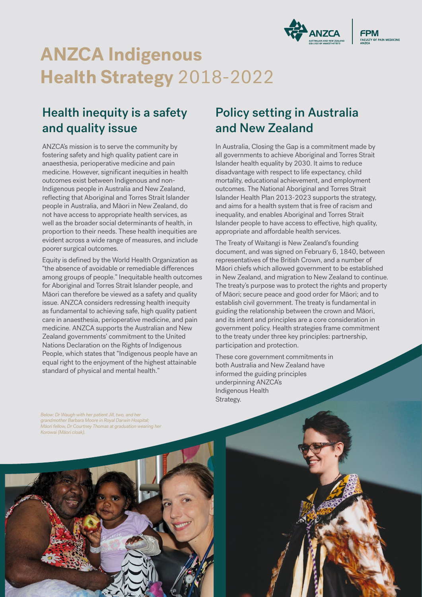

# **ANZCA Indigenous Health Strategy** 2018-2022

## Health inequity is a safety and quality issue

ANZCA's mission is to serve the community by fostering safety and high quality patient care in anaesthesia, perioperative medicine and pain medicine. However, significant inequities in health outcomes exist between Indigenous and non-Indigenous people in Australia and New Zealand, reflecting that Aboriginal and Torres Strait Islander people in Australia, and Māori in New Zealand, do not have access to appropriate health services, as well as the broader social determinants of health, in proportion to their needs. These health inequities are evident across a wide range of measures, and include poorer surgical outcomes.

Equity is defined by the World Health Organization as "the absence of avoidable or remediable differences among groups of people." Inequitable health outcomes for Aboriginal and Torres Strait Islander people, and Māori can therefore be viewed as a safety and quality issue. ANZCA considers redressing health inequity as fundamental to achieving safe, high quality patient care in anaesthesia, perioperative medicine, and pain medicine. ANZCA supports the Australian and New Zealand governments' commitment to the United Nations Declaration on the Rights of Indigenous People, which states that "Indigenous people have an equal right to the enjoyment of the highest attainable standard of physical and mental health."

### Policy setting in Australia and New Zealand

In Australia, Closing the Gap is a commitment made by all governments to achieve Aboriginal and Torres Strait Islander health equality by 2030. It aims to reduce disadvantage with respect to life expectancy, child mortality, educational achievement, and employment outcomes. The National Aboriginal and Torres Strait Islander Health Plan 2013-2023 supports the strategy, and aims for a health system that is free of racism and inequality, and enables Aboriginal and Torres Strait Islander people to have access to effective, high quality, appropriate and affordable health services.

The Treaty of Waitangi is New Zealand's founding document, and was signed on February 6, 1840, between representatives of the British Crown, and a number of Māori chiefs which allowed government to be established in New Zealand, and migration to New Zealand to continue. The treaty's purpose was to protect the rights and property of Māori; secure peace and good order for Māori; and to establish civil government. The treaty is fundamental in guiding the relationship between the crown and Māori, and its intent and principles are a core consideration in government policy. Health strategies frame commitment to the treaty under three key principles: partnership, participation and protection.

These core government commitments in both Australia and New Zealand have informed the guiding principles underpinning ANZCA's Indigenous Health Strategy.

*Below: Dr Waugh with her patient Jill, two, and her grandmother Barbara Moore in Royal Darwin Hospital; Māori fellow, Dr Courtney Thomas at graduation wearing her Korowai (Māori cloak).*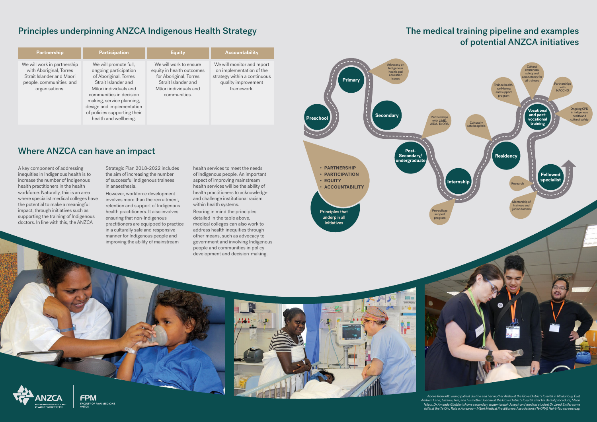### Principles underpinning ANZCA Indigenous Health Strategy

#### **Partnership Participation Equity Accountability** We will work in partnership with Aboriginal, Torres Strait Islander and Māori people, communities and organisations. We will promote full, ongoing participation of Aboriginal, Torres Strait Islander and Māori individuals and communities in decision making, service planning, design and implementation of policies supporting their health and wellbeing. We will work to ensure equity in health outcomes for Aboriginal, Torres Strait Islander and Māori individuals and communities. We will monitor and report on implementation of the strategy within a continuous quality improvement framework.

## The medical training pipeline and examples of potential ANZCA initiatives

A key component of addressing inequities in Indigenous health is to increase the number of Indigenous health practitioners in the health workforce. Naturally, this is an area where specialist medical colleges have the potential to make a meaningful impact, through initiatives such as supporting the training of Indigenous doctors. In line with this, the ANZCA

Strategic Plan 2018-2022 includes the aim of increasing the number of successful Indigenous trainees in anaesthesia.

However, workforce development involves more than the recruitment, retention and support of Indigenous health practitioners. It also involves ensuring that non-Indigenous practitioners are equipped to practice in a culturally safe and responsive manner for Indigenous people and improving the ability of mainstream



health services to meet the needs of Indigenous people. An important aspect of improving mainstream health services will be the ability of health practitioners to acknowledge and challenge institutional racism within health systems.

Bearing in mind the principles detailed in the table above, medical colleges can also work to address health inequities through other means, such as advocacy to government and involving Indigenous people and communities in policy development and decision-making.









*Above from left: young patient Justine and her mother Alisha at the Gove District Hospital in Nhulunbuy, East Arnhem Land; Lazarus, five, and his mother Joanne at the Gove District Hospital after his dental procedure; Māori fellow, Dr Amanda Gimblett shows secondary student Isaiah Joseph and medical student Dr Jared Smiler some skills at the Te Ohu Rata o Aotearoa – Māori Medical Practitioners Association's (Te ORA) Hui-ā-Tau careers day.*